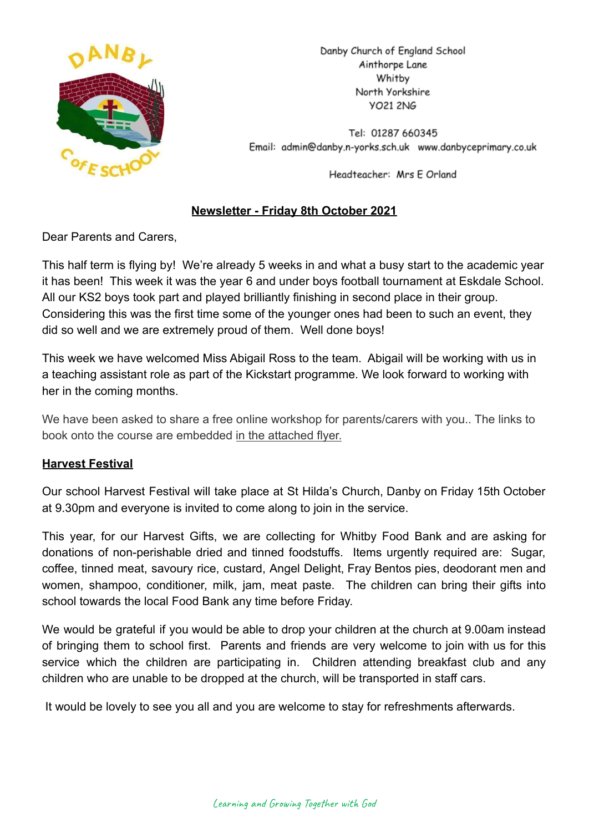

Danby Church of England School Ainthorpe Lane Whitby North Yorkshire **VO21 2NG** 

Tel: 01287 660345 Email: admin@danby.n-yorks.sch.uk www.danbyceprimary.co.uk

Headteacher: Mrs E Orland

# **Newsletter - Friday 8th October 2021**

Dear Parents and Carers,

This half term is flying by! We're already 5 weeks in and what a busy start to the academic year it has been! This week it was the year 6 and under boys football tournament at Eskdale School. All our KS2 boys took part and played brilliantly finishing in second place in their group. Considering this was the first time some of the younger ones had been to such an event, they did so well and we are extremely proud of them. Well done boys!

This week we have welcomed Miss Abigail Ross to the team. Abigail will be working with us in a teaching assistant role as part of the Kickstart programme. We look forward to working with her in the coming months.

We have been asked to share a free online workshop for parents/carers with you.. The links to book onto the course are embedded [in the attached](https://r1.ddlnk.net/4BPJ-15Y5A-34L1BO-100T00-1/c.aspx) flyer.

# **Harvest Festival**

Our school Harvest Festival will take place at St Hilda's Church, Danby on Friday 15th October at 9.30pm and everyone is invited to come along to join in the service.

This year, for our Harvest Gifts, we are collecting for Whitby Food Bank and are asking for donations of non-perishable dried and tinned foodstuffs. Items urgently required are: Sugar, coffee, tinned meat, savoury rice, custard, Angel Delight, Fray Bentos pies, deodorant men and women, shampoo, conditioner, milk, jam, meat paste. The children can bring their gifts into school towards the local Food Bank any time before Friday.

We would be grateful if you would be able to drop your children at the church at 9.00am instead of bringing them to school first. Parents and friends are very welcome to join with us for this service which the children are participating in. Children attending breakfast club and any children who are unable to be dropped at the church, will be transported in staff cars.

It would be lovely to see you all and you are welcome to stay for refreshments afterwards.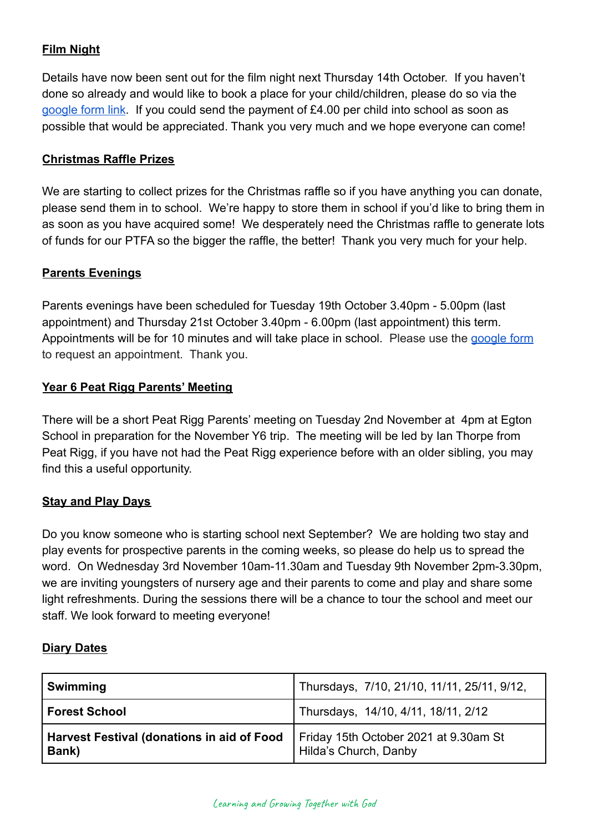# **Film Night**

Details have now been sent out for the film night next Thursday 14th October. If you haven't done so already and would like to book a place for your child/children, please do so via the [google form link](https://forms.gle/2VAbsM8ckugkLVxa8). If you could send the payment of £4.00 per child into school as soon as possible that would be appreciated. Thank you very much and we hope everyone can come!

### **Christmas Raffle Prizes**

We are starting to collect prizes for the Christmas raffle so if you have anything you can donate, please send them in to school. We're happy to store them in school if you'd like to bring them in as soon as you have acquired some! We desperately need the Christmas raffle to generate lots of funds for our PTFA so the bigger the raffle, the better! Thank you very much for your help.

### **Parents Evenings**

Parents evenings have been scheduled for Tuesday 19th October 3.40pm - 5.00pm (last appointment) and Thursday 21st October 3.40pm - 6.00pm (last appointment) this term. Appointments will be for 10 minutes and will take place in school. Please use the [google form](https://forms.gle/5f17cJE4s4hiNYLh8) to request an appointment. Thank you.

### **Year 6 Peat Rigg Parents' Meeting**

There will be a short Peat Rigg Parents' meeting on Tuesday 2nd November at 4pm at Egton School in preparation for the November Y6 trip. The meeting will be led by Ian Thorpe from Peat Rigg, if you have not had the Peat Rigg experience before with an older sibling, you may find this a useful opportunity.

#### **Stay and Play Days**

Do you know someone who is starting school next September? We are holding two stay and play events for prospective parents in the coming weeks, so please do help us to spread the word. On Wednesday 3rd November 10am-11.30am and Tuesday 9th November 2pm-3.30pm, we are inviting youngsters of nursery age and their parents to come and play and share some light refreshments. During the sessions there will be a chance to tour the school and meet our staff. We look forward to meeting everyone!

# **Diary Dates**

| <b>Swimming</b>                                     | Thursdays, 7/10, 21/10, 11/11, 25/11, 9/12,                    |
|-----------------------------------------------------|----------------------------------------------------------------|
| <b>Forest School</b>                                | Thursdays, 14/10, 4/11, 18/11, 2/12                            |
| Harvest Festival (donations in aid of Food<br>Bank) | Friday 15th October 2021 at 9.30am St<br>Hilda's Church, Danby |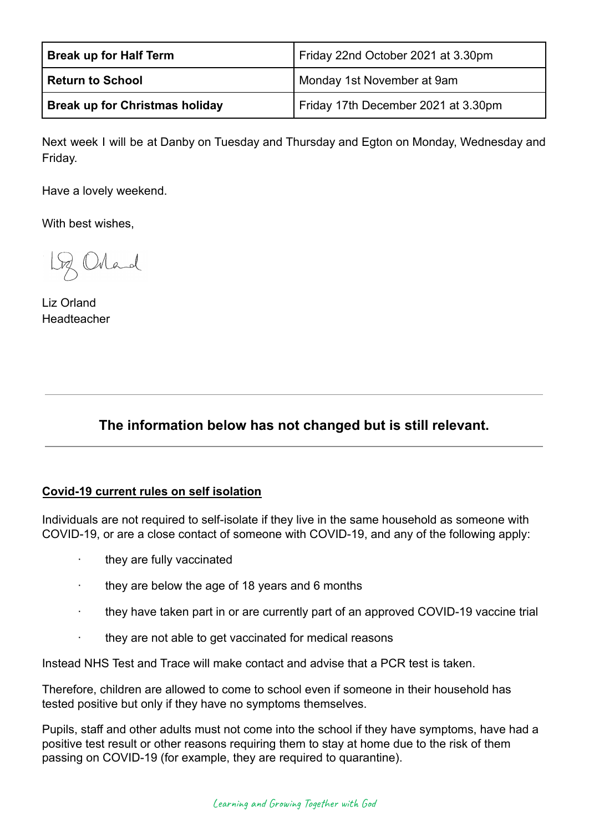| <b>Break up for Half Term</b>         | Friday 22nd October 2021 at 3.30pm  |
|---------------------------------------|-------------------------------------|
| <b>Return to School</b>               | Monday 1st November at 9am          |
| <b>Break up for Christmas holiday</b> | Friday 17th December 2021 at 3.30pm |

Next week I will be at Danby on Tuesday and Thursday and Egton on Monday, Wednesday and Friday.

Have a lovely weekend.

With best wishes,

Lg Orland

Liz Orland Headteacher

# **The information below has not changed but is still relevant.**

#### **Covid-19 current rules on self isolation**

Individuals are not required to self-isolate if they live in the same household as someone with COVID-19, or are a close contact of someone with COVID-19, and any of the following apply:

- they are fully vaccinated
- they are below the age of 18 years and 6 months
- · they have taken part in or are currently part of an approved COVID-19 vaccine trial
- they are not able to get vaccinated for medical reasons

Instead NHS Test and Trace will make contact and advise that a PCR test is taken.

Therefore, children are allowed to come to school even if someone in their household has tested positive but only if they have no symptoms themselves.

Pupils, staff and other adults must not come into the school if they have symptoms, have had a positive test result or other reasons requiring them to stay at home due to the risk of them passing on COVID-19 (for example, they are required to quarantine).